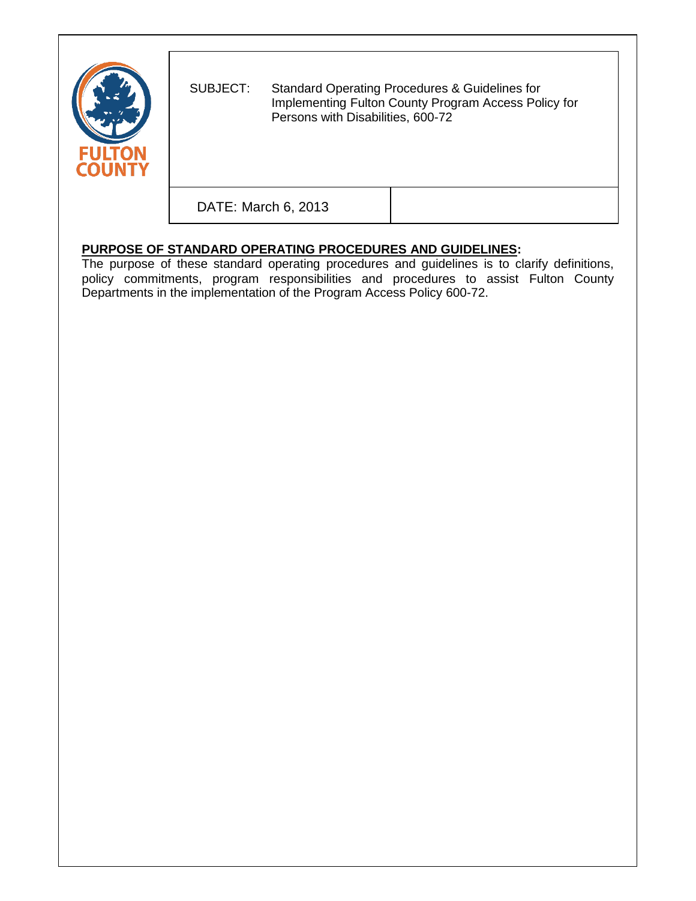

SUBJECT: Standard Operating Procedures & Guidelines for Implementing Fulton County Program Access Policy for Persons with Disabilities, 600-72

DATE: March 6, 2013

# **PURPOSE OF STANDARD OPERATING PROCEDURES AND GUIDELINES:**

The purpose of these standard operating procedures and guidelines is to clarify definitions, policy commitments, program responsibilities and procedures to assist Fulton County Departments in the implementation of the Program Access Policy 600-72.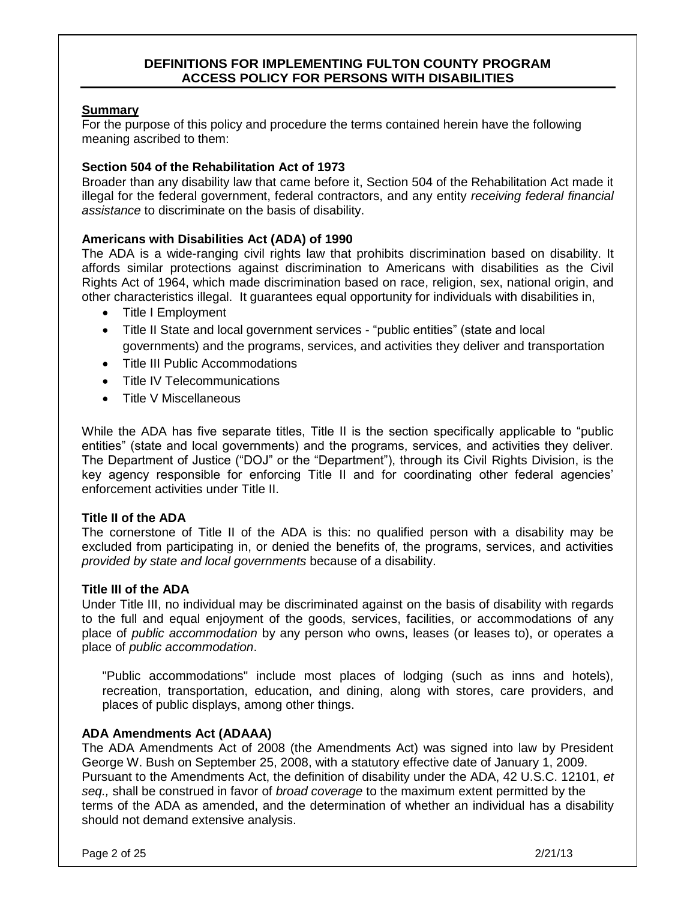#### **DEFINITIONS FOR IMPLEMENTING FULTON COUNTY PROGRAM ACCESS POLICY FOR PERSONS WITH DISABILITIES**

#### **Summary**

For the purpose of this policy and procedure the terms contained herein have the following meaning ascribed to them:

#### **Section 504 of the Rehabilitation Act of 1973**

Broader than any disability law that came before it, Section 504 of the Rehabilitation Act made it illegal for the federal government, federal contractors, and any entity *receiving federal financial assistance* to discriminate on the basis of disability.

# **Americans with Disabilities Act (ADA) of 1990**

The ADA is a wide-ranging [civil rights](http://en.wikipedia.org/wiki/Civil_rights) law that prohibits [discrimination](http://en.wikipedia.org/wiki/Discrimination) based on [disability.](http://en.wikipedia.org/wiki/Disability) It affords similar protections against discrimination to [Americans with disabilities](http://en.wikipedia.org/wiki/Americans_with_disabilities) as the [Civil](http://en.wikipedia.org/wiki/Civil_Rights_Act_of_1964)  [Rights Act of 1964,](http://en.wikipedia.org/wiki/Civil_Rights_Act_of_1964) which made discrimination based on [race,](http://en.wikipedia.org/wiki/Race_(classification_of_human_beings)) [religion,](http://en.wikipedia.org/wiki/Religion) [sex,](http://en.wikipedia.org/wiki/Gender) national origin, and other characteristics illegal. It guarantees equal opportunity for individuals with disabilities in,

- Title I Employment
- Title II State and local government services "public entities" (state and local governments) and the programs, services, and activities they deliver and transportation
- Title III Public Accommodations
- Title IV Telecommunications
- Title V Miscellaneous

While the ADA has five separate titles, Title II is the section specifically applicable to "public entities" (state and local governments) and the programs, services, and activities they deliver. The Department of Justice ("DOJ" or the "Department"), through its Civil Rights Division, is the key agency responsible for enforcing Title II and for coordinating other federal agencies' enforcement activities under Title II.

#### **Title II of the ADA**

The cornerstone of Title II of the ADA is this: no qualified person with a disability may be excluded from participating in, or denied the benefits of, the programs, services, and activities *provided by state and local governments* because of a disability.

#### **Title III of the ADA**

Under Title III, no individual may be discriminated against on the basis of disability with regards to the full and equal [enjoyment](http://en.wikipedia.org/wiki/Enjoyment) of the goods, services, facilities, or accommodations of any place of *public accommodation* by any person who owns, leases (or leases to), or operates a place of *public accommodation*.

"Public accommodations" include most places of lodging (such as inns and hotels), recreation, transportation, education, and dining, along with stores, care providers, and places of public displays, among other things.

#### **ADA Amendments Act (ADAAA)**

The ADA Amendments Act of 2008 (the Amendments Act) was signed into law by President George W. Bush on September 25, 2008, with a statutory effective date of January 1, 2009. Pursuant to the Amendments Act, the definition of disability under the ADA, 42 U.S.C. 12101, *et seq.,* shall be construed in favor of *broad coverage* to the maximum extent permitted by the terms of the ADA as amended, and the determination of whether an individual has a disability should not demand extensive analysis.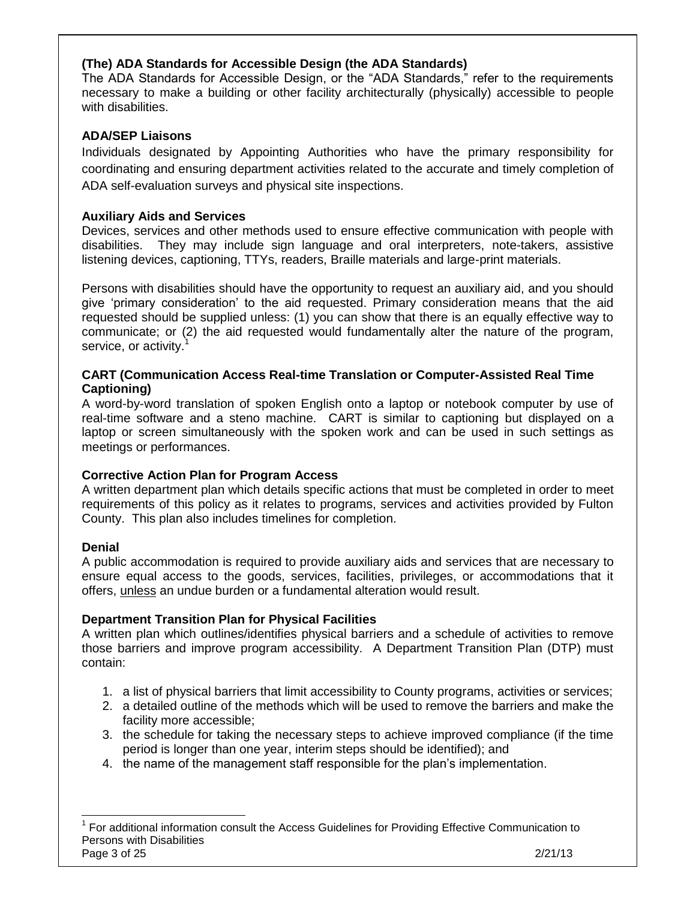# **(The) ADA Standards for Accessible Design (the ADA Standards)**

The ADA Standards for Accessible Design, or the "ADA Standards," refer to the requirements necessary to make a building or other facility architecturally (physically) accessible to people with disabilities.

# **ADA/SEP Liaisons**

Individuals designated by Appointing Authorities who have the primary responsibility for coordinating and ensuring department activities related to the accurate and timely completion of ADA self-evaluation surveys and physical site inspections.

# **Auxiliary Aids and Services**

Devices, services and other methods used to ensure effective communication with people with disabilities. They may include sign language and oral interpreters, note-takers, assistive listening devices, captioning, TTYs, readers, Braille materials and large-print materials.

Persons with disabilities should have the opportunity to request an auxiliary aid, and you should give 'primary consideration' to the aid requested. Primary consideration means that the aid requested should be supplied unless: (1) you can show that there is an equally effective way to communicate; or (2) the aid requested would fundamentally alter the nature of the program, service, or activity.

# **CART (Communication Access Real-time Translation or Computer-Assisted Real Time Captioning)**

A word-by-word translation of spoken English onto a laptop or notebook computer by use of real-time software and a steno machine. CART is similar to captioning but displayed on a laptop or screen simultaneously with the spoken work and can be used in such settings as meetings or performances.

# **Corrective Action Plan for Program Access**

A written department plan which details specific actions that must be completed in order to meet requirements of this policy as it relates to programs, services and activities provided by Fulton County. This plan also includes timelines for completion.

# **Denial**

A public accommodation is required to provide auxiliary aids and services that are necessary to ensure equal access to the goods, services, facilities, privileges, or accommodations that it offers, unless an undue burden or a fundamental alteration would result.

# **Department Transition Plan for Physical Facilities**

A written plan which outlines/identifies physical barriers and a schedule of activities to remove those barriers and improve program accessibility. A Department Transition Plan (DTP) must contain:

- 1. a list of physical barriers that limit accessibility to County programs, activities or services;
- 2. a detailed outline of the methods which will be used to remove the barriers and make the facility more accessible;
- 3. the schedule for taking the necessary steps to achieve improved compliance (if the time period is longer than one year, interim steps should be identified); and
- 4. the name of the management staff responsible for the plan's implementation.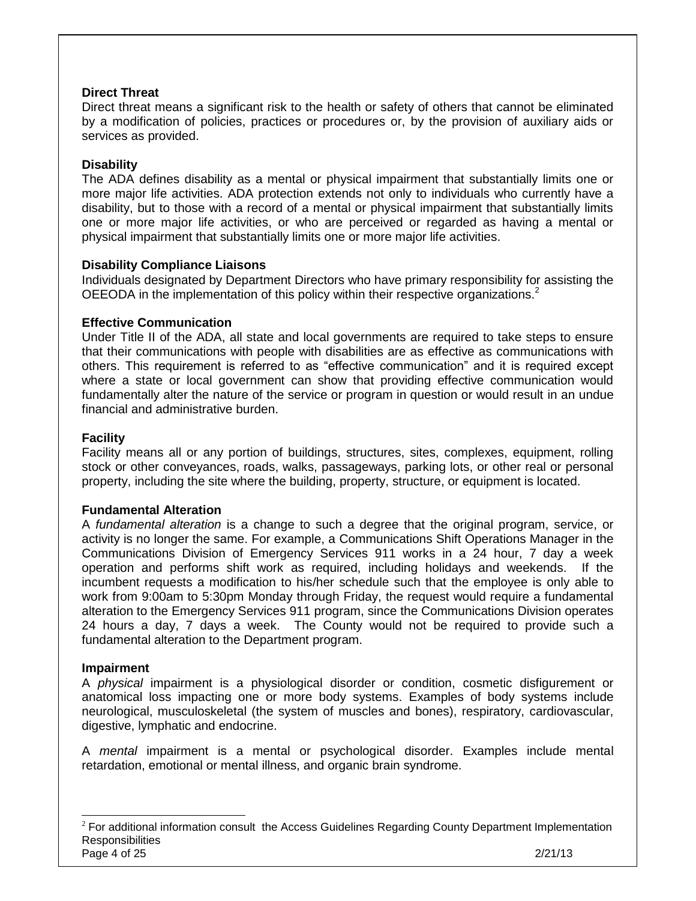# **Direct Threat**

Direct threat means a significant risk to the health or safety of others that cannot be eliminated by a modification of policies, practices or procedures or, by the provision of auxiliary aids or services as provided.

# **Disability**

The ADA defines disability as a mental or physical impairment that substantially limits one or more major life activities. ADA protection extends not only to individuals who currently have a disability, but to those with a record of a mental or physical impairment that substantially limits one or more major life activities, or who are perceived or regarded as having a mental or physical impairment that substantially limits one or more major life activities.

# **Disability Compliance Liaisons**

Individuals designated by Department Directors who have primary responsibility for assisting the OEEODA in the implementation of this policy within their respective organizations. $2$ 

#### **Effective Communication**

Under Title II of the ADA, all state and local governments are required to take steps to ensure that their communications with people with disabilities are as effective as communications with others. This requirement is referred to as "effective communication" and it is required except where a state or local government can show that providing effective communication would fundamentally alter the nature of the service or program in question or would result in an undue financial and administrative burden.

#### **Facility**

Facility means all or any portion of buildings, structures, sites, complexes, equipment, rolling stock or other conveyances, roads, walks, passageways, parking lots, or other real or personal property, including the site where the building, property, structure, or equipment is located.

#### **Fundamental Alteration**

A *fundamental alteration* is a change to such a degree that the original program, service, or activity is no longer the same. For example, a Communications Shift Operations Manager in the Communications Division of Emergency Services 911 works in a 24 hour, 7 day a week operation and performs shift work as required, including holidays and weekends. If the incumbent requests a modification to his/her schedule such that the employee is only able to work from 9:00am to 5:30pm Monday through Friday, the request would require a fundamental alteration to the Emergency Services 911 program, since the Communications Division operates 24 hours a day, 7 days a week. The County would not be required to provide such a fundamental alteration to the Department program.

#### **Impairment**

A *physical* impairment is a physiological disorder or condition, cosmetic disfigurement or anatomical loss impacting one or more body systems. Examples of body systems include neurological, musculoskeletal (the system of muscles and bones), respiratory, cardiovascular, digestive, lymphatic and endocrine.

A *mental* impairment is a mental or psychological disorder. Examples include mental retardation, emotional or mental illness, and organic brain syndrome.

Page 4 of 25 2/21/13 <sup>2</sup> For additional information consult the Access Guidelines Regarding County Department Implementation **Responsibilities**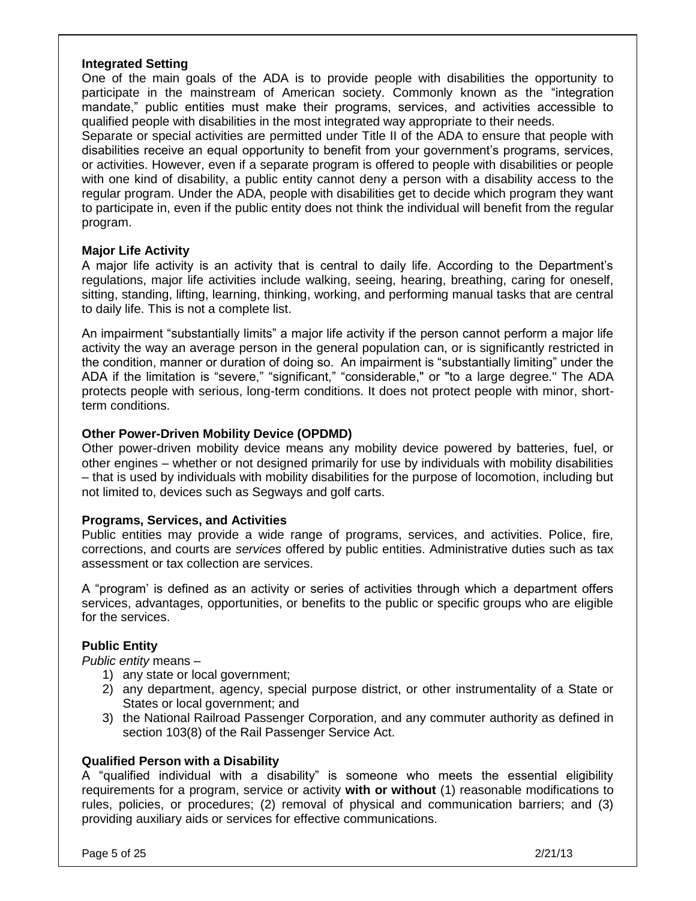#### **Integrated Setting**

One of the main goals of the ADA is to provide people with disabilities the opportunity to participate in the mainstream of American society. Commonly known as the "integration mandate," public entities must make their programs, services, and activities accessible to qualified people with disabilities in the most integrated way appropriate to their needs.

Separate or special activities are permitted under Title II of the ADA to ensure that people with disabilities receive an equal opportunity to benefit from your government's programs, services, or activities. However, even if a separate program is offered to people with disabilities or people with one kind of disability, a public entity cannot deny a person with a disability access to the regular program. Under the ADA, people with disabilities get to decide which program they want to participate in, even if the public entity does not think the individual will benefit from the regular program.

#### **Major Life Activity**

A major life activity is an activity that is central to daily life. According to the Department's regulations, major life activities include walking, seeing, hearing, breathing, caring for oneself, sitting, standing, lifting, learning, thinking, working, and performing manual tasks that are central to daily life. This is not a complete list.

An impairment "substantially limits" a major life activity if the person cannot perform a major life activity the way an average person in the general population can, or is significantly restricted in the condition, manner or duration of doing so. An impairment is "substantially limiting" under the ADA if the limitation is "severe," "significant," "considerable," or "to a large degree." The ADA protects people with serious, long-term conditions. It does not protect people with minor, shortterm conditions.

#### **Other Power-Driven Mobility Device (OPDMD)**

Other power-driven mobility device means any mobility device powered by batteries, fuel, or other engines – whether or not designed primarily for use by individuals with mobility disabilities – that is used by individuals with mobility disabilities for the purpose of locomotion, including but not limited to, devices such as Segways and golf carts.

#### **Programs, Services, and Activities**

Public entities may provide a wide range of programs, services, and activities. Police, fire, corrections, and courts are *services* offered by public entities. Administrative duties such as tax assessment or tax collection are services.

A "program' is defined as an activity or series of activities through which a department offers services, advantages, opportunities, or benefits to the public or specific groups who are eligible for the services.

# **Public Entity**

*Public entity* means –

- 1) any state or local government;
- 2) any department, agency, special purpose district, or other instrumentality of a State or States or local government; and
- 3) the National Railroad Passenger Corporation, and any commuter authority as defined in section 103(8) of the Rail Passenger Service Act.

# **Qualified Person with a Disability**

A "qualified individual with a disability" is someone who meets the essential eligibility requirements for a program, service or activity **with or without** (1) reasonable modifications to rules, policies, or procedures; (2) removal of physical and communication barriers; and (3) providing auxiliary aids or services for effective communications.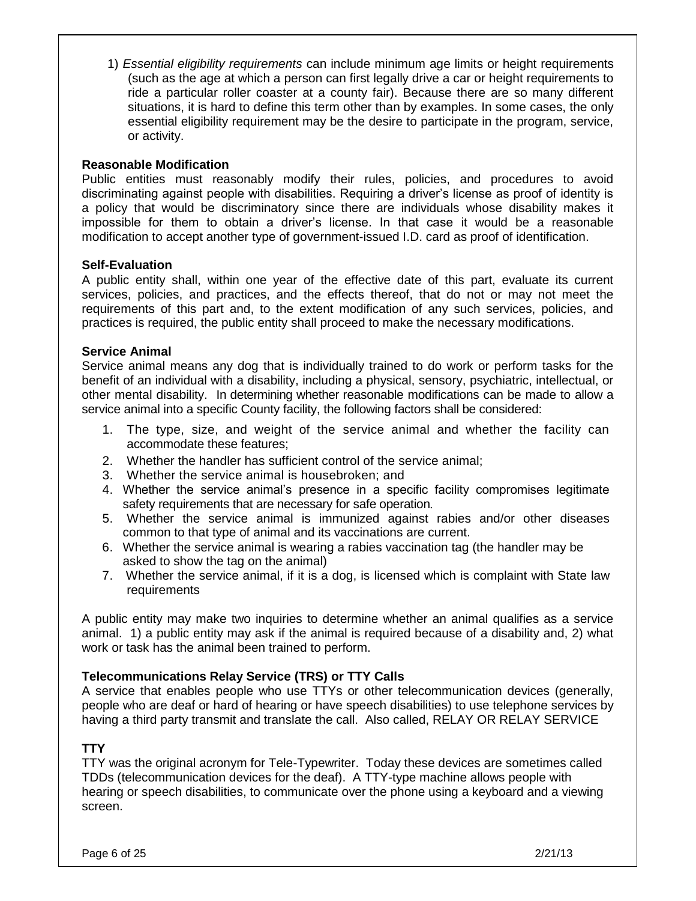1) *Essential eligibility requirements* can include minimum age limits or height requirements (such as the age at which a person can first legally drive a car or height requirements to ride a particular roller coaster at a county fair). Because there are so many different situations, it is hard to define this term other than by examples. In some cases, the only essential eligibility requirement may be the desire to participate in the program, service, or activity.

## **Reasonable Modification**

Public entities must reasonably modify their rules, policies, and procedures to avoid discriminating against people with disabilities. Requiring a driver's license as proof of identity is a policy that would be discriminatory since there are individuals whose disability makes it impossible for them to obtain a driver's license. In that case it would be a reasonable modification to accept another type of government-issued I.D. card as proof of identification.

#### **Self-Evaluation**

A public entity shall, within one year of the effective date of this part, evaluate its current services, policies, and practices, and the effects thereof, that do not or may not meet the requirements of this part and, to the extent modification of any such services, policies, and practices is required, the public entity shall proceed to make the necessary modifications.

#### **Service Animal**

Service animal means any dog that is individually trained to do work or perform tasks for the benefit of an individual with a disability, including a physical, sensory, psychiatric, intellectual, or other mental disability. In determining whether reasonable modifications can be made to allow a service animal into a specific County facility, the following factors shall be considered:

- 1. The type, size, and weight of the service animal and whether the facility can accommodate these features;
- 2. Whether the handler has sufficient control of the service animal;
- 3. Whether the service animal is housebroken; and
- 4. Whether the service animal's presence in a specific facility compromises legitimate safety requirements that are necessary for safe operation.
- 5. Whether the service animal is immunized against rabies and/or other diseases common to that type of animal and its vaccinations are current.
- 6. Whether the service animal is wearing a rabies vaccination tag (the handler may be asked to show the tag on the animal)
- 7. Whether the service animal, if it is a dog, is licensed which is complaint with State law requirements

A public entity may make two inquiries to determine whether an animal qualifies as a service animal. 1) a public entity may ask if the animal is required because of a disability and, 2) what work or task has the animal been trained to perform.

# **Telecommunications Relay Service (TRS) or TTY Calls**

A service that enables people who use TTYs or other telecommunication devices (generally, people who are deaf or hard of hearing or have speech disabilities) to use telephone services by having a third party transmit and translate the call. Also called, RELAY OR RELAY SERVICE

# **TTY**

TTY was the original acronym for Tele-Typewriter. Today these devices are sometimes called TDDs (telecommunication devices for the deaf). A TTY-type machine allows people with hearing or speech disabilities, to communicate over the phone using a keyboard and a viewing screen.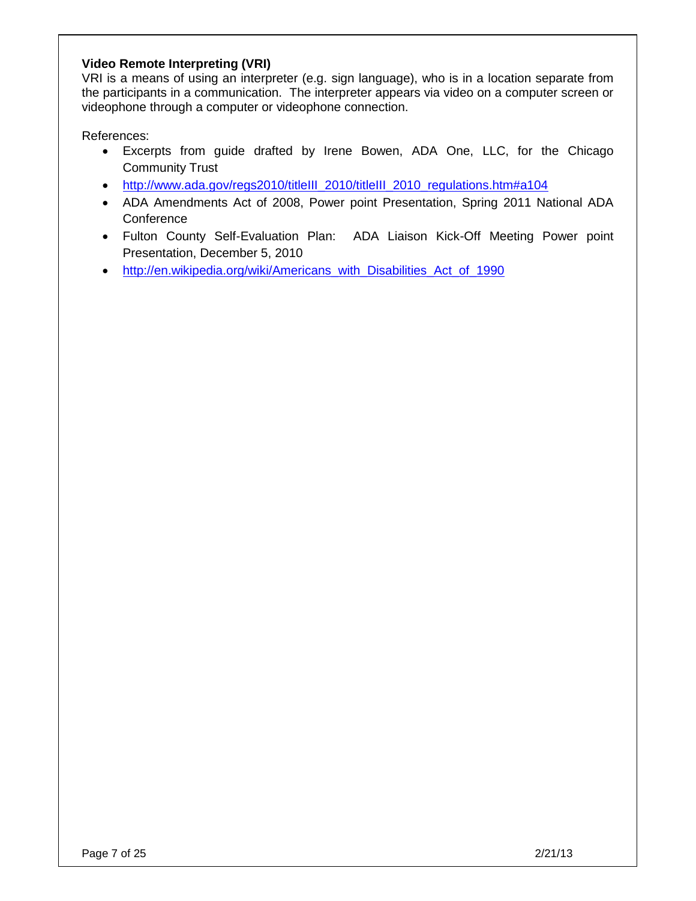# **Video Remote Interpreting (VRI)**

VRI is a means of using an interpreter (e.g. sign language), who is in a location separate from the participants in a communication. The interpreter appears via video on a computer screen or videophone through a computer or videophone connection.

References:

- Excerpts from guide drafted by Irene Bowen, ADA One, LLC, for the Chicago Community Trust
- [http://www.ada.gov/regs2010/titleIII\\_2010/titleIII\\_2010\\_regulations.htm#a104](http://www.ada.gov/regs2010/titleIII_2010/titleIII_2010_regulations.htm#a104)
- ADA Amendments Act of 2008, Power point Presentation, Spring 2011 National ADA **Conference**
- Fulton County Self-Evaluation Plan: ADA Liaison Kick-Off Meeting Power point Presentation, December 5, 2010
- [http://en.wikipedia.org/wiki/Americans\\_with\\_Disabilities\\_Act\\_of\\_1990](http://en.wikipedia.org/wiki/Americans_with_Disabilities_Act_of_1990)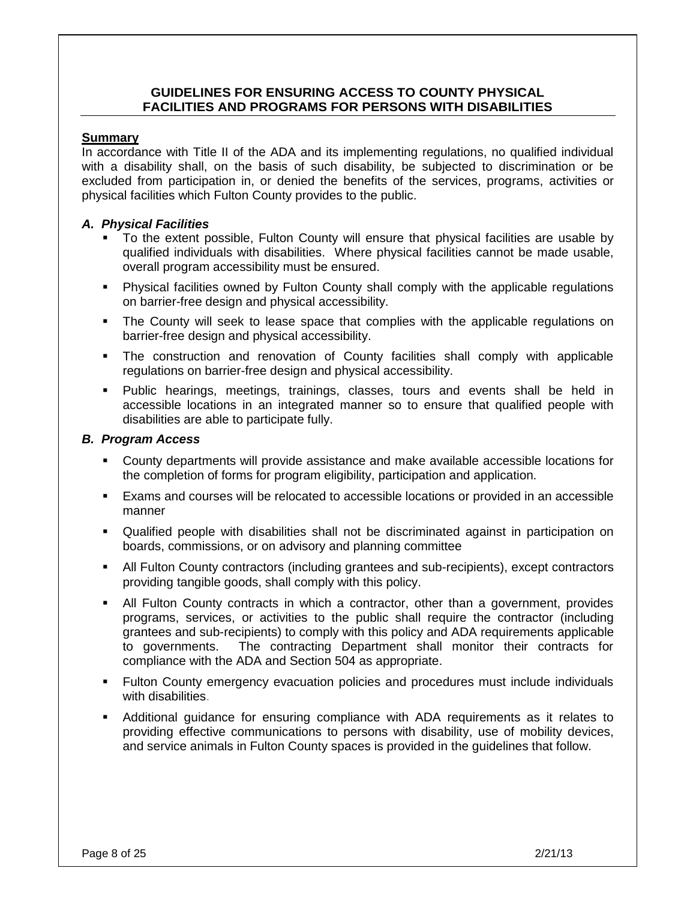## **GUIDELINES FOR ENSURING ACCESS TO COUNTY PHYSICAL FACILITIES AND PROGRAMS FOR PERSONS WITH DISABILITIES**

#### **Summary**

In accordance with Title II of the ADA and its implementing regulations, no qualified individual with a disability shall, on the basis of such disability, be subjected to discrimination or be excluded from participation in, or denied the benefits of the services, programs, activities or physical facilities which Fulton County provides to the public.

#### *A. Physical Facilities*

- To the extent possible, Fulton County will ensure that physical facilities are usable by qualified individuals with disabilities. Where physical facilities cannot be made usable, overall program accessibility must be ensured.
- Physical facilities owned by Fulton County shall comply with the applicable regulations on barrier-free design and physical accessibility.
- The County will seek to lease space that complies with the applicable regulations on barrier-free design and physical accessibility.
- The construction and renovation of County facilities shall comply with applicable regulations on barrier-free design and physical accessibility.
- Public hearings, meetings, trainings, classes, tours and events shall be held in accessible locations in an integrated manner so to ensure that qualified people with disabilities are able to participate fully.

#### *B. Program Access*

- County departments will provide assistance and make available accessible locations for the completion of forms for program eligibility, participation and application.
- Exams and courses will be relocated to accessible locations or provided in an accessible manner
- Qualified people with disabilities shall not be discriminated against in participation on boards, commissions, or on advisory and planning committee
- All Fulton County contractors (including grantees and sub-recipients), except contractors providing tangible goods, shall comply with this policy.
- All Fulton County contracts in which a contractor, other than a government, provides programs, services, or activities to the public shall require the contractor (including grantees and sub-recipients) to comply with this policy and ADA requirements applicable to governments. The contracting Department shall monitor their contracts for compliance with the ADA and Section 504 as appropriate.
- **Fulton County emergency evacuation policies and procedures must include individuals** with disabilities.
- Additional guidance for ensuring compliance with ADA requirements as it relates to providing effective communications to persons with disability, use of mobility devices, and service animals in Fulton County spaces is provided in the guidelines that follow.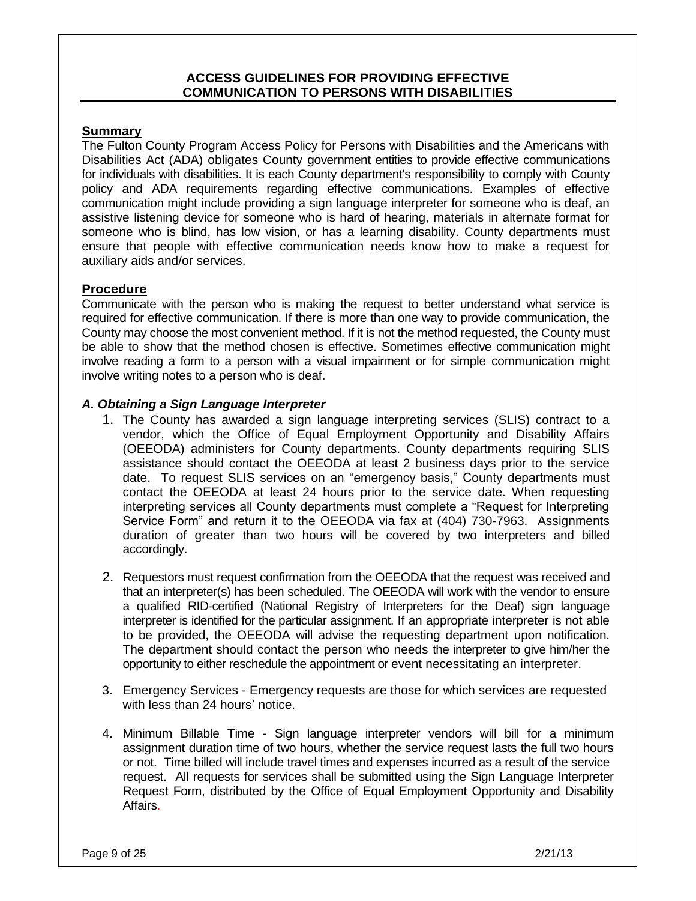## **ACCESS GUIDELINES FOR PROVIDING EFFECTIVE COMMUNICATION TO PERSONS WITH DISABILITIES**

#### **Summary**

The Fulton County Program Access Policy for Persons with Disabilities and the Americans with Disabilities Act (ADA) obligates County government entities to provide effective communications for individuals with disabilities. It is each County department's responsibility to comply with County policy and ADA requirements regarding effective communications. Examples of effective communication might include providing a sign language interpreter for someone who is deaf, an assistive listening device for someone who is hard of hearing, materials in alternate format for someone who is blind, has low vision, or has a learning disability. County departments must ensure that people with effective communication needs know how to make a request for auxiliary aids and/or services.

#### **Procedure**

Communicate with the person who is making the request to better understand what service is required for effective communication. If there is more than one way to provide communication, the County may choose the most convenient method. If it is not the method requested, the County must be able to show that the method chosen is effective. Sometimes effective communication might involve reading a form to a person with a visual impairment or for simple communication might involve writing notes to a person who is deaf.

#### *A. Obtaining a Sign Language Interpreter*

- 1. The County has awarded a sign language interpreting services (SLIS) contract to a vendor, which the Office of Equal Employment Opportunity and Disability Affairs (OEEODA) administers for County departments. County departments requiring SLIS assistance should contact the OEEODA at least 2 business days prior to the service date. To request SLIS services on an "emergency basis," County departments must contact the OEEODA at least 24 hours prior to the service date. When requesting interpreting services all County departments must complete a "Request for Interpreting Service Form" and return it to the OEEODA via fax at (404) 730-7963. Assignments duration of greater than two hours will be covered by two interpreters and billed accordingly.
- 2. Requestors must request confirmation from the OEEODA that the request was received and that an interpreter(s) has been scheduled. The OEEODA will work with the vendor to ensure a qualified RID-certified (National Registry of Interpreters for the Deaf) sign language interpreter is identified for the particular assignment. If an appropriate interpreter is not able to be provided, the OEEODA will advise the requesting department upon notification. The department should contact the person who needs the interpreter to give him/her the opportunity to either reschedule the appointment or event necessitating an interpreter.
- 3. Emergency Services Emergency requests are those for which services are requested with less than 24 hours' notice.
- 4. Minimum Billable Time Sign language interpreter vendors will bill for a minimum assignment duration time of two hours, whether the service request lasts the full two hours or not. Time billed will include travel times and expenses incurred as a result of the service request. All requests for services shall be submitted using the Sign Language Interpreter Request Form, distributed by the Office of Equal Employment Opportunity and Disability Affairs.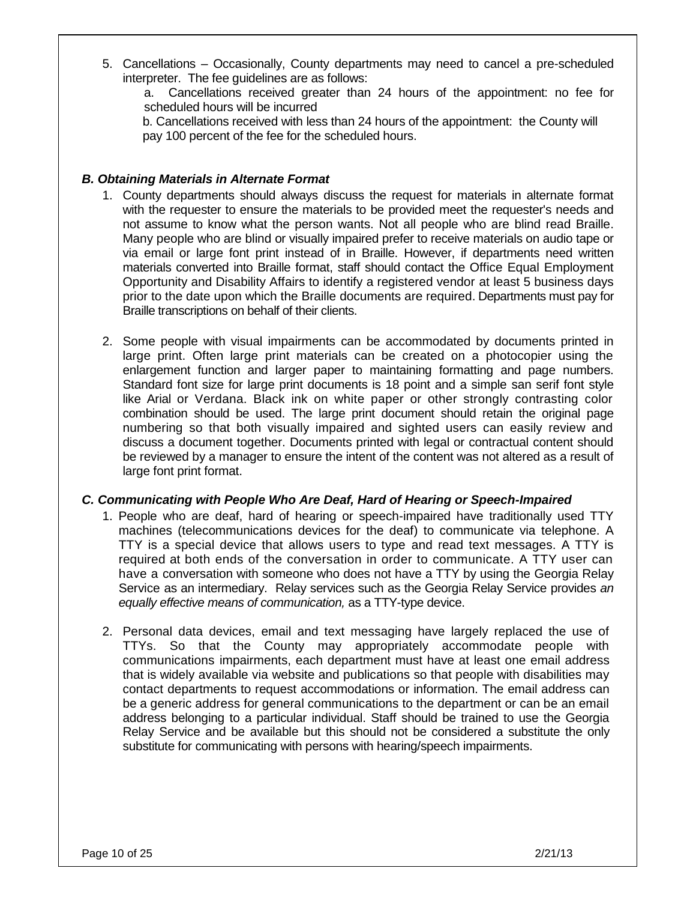5. Cancellations – Occasionally, County departments may need to cancel a pre-scheduled interpreter. The fee guidelines are as follows:

a. Cancellations received greater than 24 hours of the appointment: no fee for scheduled hours will be incurred

b. Cancellations received with less than 24 hours of the appointment: the County will pay 100 percent of the fee for the scheduled hours.

## *B. Obtaining Materials in Alternate Format*

- 1. County departments should always discuss the request for materials in alternate format with the requester to ensure the materials to be provided meet the requester's needs and not assume to know what the person wants. Not all people who are blind read Braille. Many people who are blind or visually impaired prefer to receive materials on audio tape or via email or large font print instead of in Braille. However, if departments need written materials converted into Braille format, staff should contact the Office Equal Employment Opportunity and Disability Affairs to identify a registered vendor at least 5 business days prior to the date upon which the Braille documents are required. Departments must pay for Braille transcriptions on behalf of their clients.
- 2. Some people with visual impairments can be accommodated by documents printed in large print. Often large print materials can be created on a photocopier using the enlargement function and larger paper to maintaining formatting and page numbers. Standard font size for large print documents is 18 point and a simple san serif font style like Arial or Verdana. Black ink on white paper or other strongly contrasting color combination should be used. The large print document should retain the original page numbering so that both visually impaired and sighted users can easily review and discuss a document together. Documents printed with legal or contractual content should be reviewed by a manager to ensure the intent of the content was not altered as a result of large font print format.

# *C. Communicating with People Who Are Deaf, Hard of Hearing or Speech-Impaired*

- 1. People who are deaf, hard of hearing or speech-impaired have traditionally used TTY machines (telecommunications devices for the deaf) to communicate via telephone. A TTY is a special device that allows users to type and read text messages. A TTY is required at both ends of the conversation in order to communicate. A TTY user can have a conversation with someone who does not have a TTY by using the Georgia Relay Service as an intermediary. Relay services such as the Georgia Relay Service provides *an equally effective means of communication,* as a TTY-type device.
- 2. Personal data devices, email and text messaging have largely replaced the use of TTYs. So that the County may appropriately accommodate people with communications impairments, each department must have at least one email address that is widely available via website and publications so that people with disabilities may contact departments to request accommodations or information. The email address can be a generic address for general communications to the department or can be an email address belonging to a particular individual. Staff should be trained to use the Georgia Relay Service and be available but this should not be considered a substitute the only substitute for communicating with persons with hearing/speech impairments.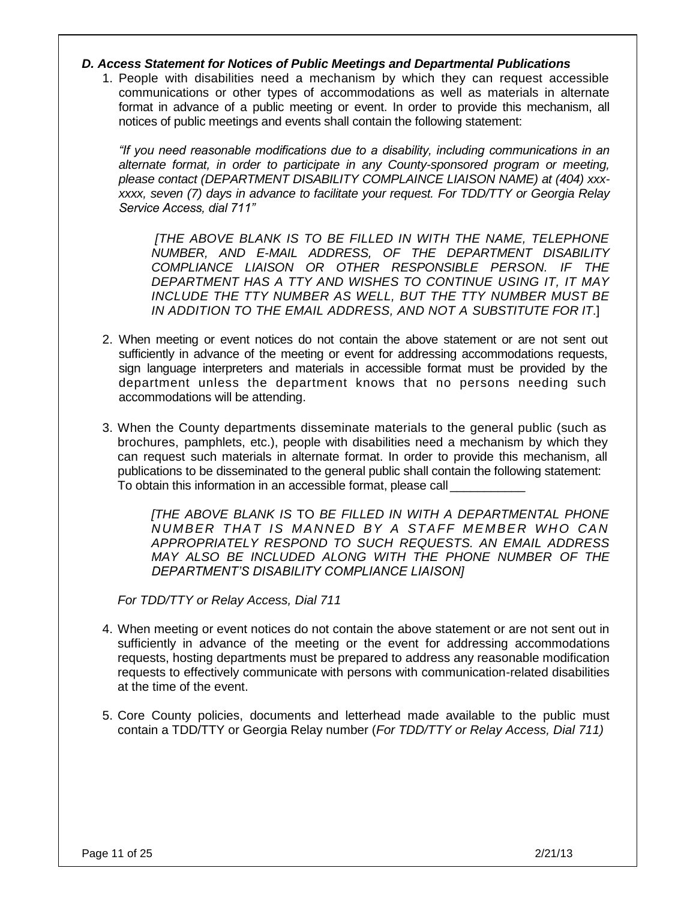#### *D. Access Statement for Notices of Public Meetings and Departmental Publications*

1. People with disabilities need a mechanism by which they can request accessible communications or other types of accommodations as well as materials in alternate format in advance of a public meeting or event. In order to provide this mechanism, all notices of public meetings and events shall contain the following statement:

*"If you need reasonable modifications due to a disability, including communications in an alternate format, in order to participate in any County-sponsored program or meeting, please contact (DEPARTMENT DISABILITY COMPLAINCE LIAISON NAME) at (404) xxxxxxx, seven (7) days in advance to facilitate your request. For TDD/TTY or Georgia Relay Service Access, dial 711"*

*[THE ABOVE BLANK IS TO BE FILLED IN WITH THE NAME, TELEPHONE NUMBER, AND E-MAIL ADDRESS, OF THE DEPARTMENT DISABILITY COMPLIANCE LIAISON OR OTHER RESPONSIBLE PERSON. IF THE DEPARTMENT HAS A TTY AND WISHES TO CONTINUE USING IT, IT MAY INCLUDE THE TTY NUMBER AS WELL, BUT THE TTY NUMBER MUST BE IN ADDITION TO THE EMAIL ADDRESS, AND NOT A SUBSTITUTE FOR IT*.]

- 2. When meeting or event notices do not contain the above statement or are not sent out sufficiently in advance of the meeting or event for addressing accommodations requests, sign language interpreters and materials in accessible format must be provided by the department unless the department knows that no persons needing such accommodations will be attending.
- 3. When the County departments disseminate materials to the general public (such as brochures, pamphlets, etc.), people with disabilities need a mechanism by which they can request such materials in alternate format. In order to provide this mechanism, all publications to be disseminated to the general public shall contain the following statement: To obtain this information in an accessible format, please call

*[THE ABOVE BLANK IS* TO *BE FILLED IN WITH A DEPARTMENTAL PHONE NUMBER THAT I S MANNED BY A STAFF MEMBER WHO CAN APPROPRIATELY RESPOND TO SUCH [REQUESTS. AN](http://requests.an/) EMAIL ADDRESS MAY ALSO BE INCLUDED ALONG WITH THE PHONE NUMBER OF THE DEPARTMENT'S DISABILITY COMPLIANCE LIAISON]*

*For TDD/TTY or Relay Access, Dial 711*

- 4. When meeting or event notices do not contain the above statement or are not sent out in sufficiently in advance of the meeting or the event for addressing accommodations requests, hosting departments must be prepared to address any reasonable modification requests to effectively communicate with persons with communication-related disabilities at the time of the event.
- 5. Core County policies, documents and letterhead made available to the public must contain a TDD/TTY or Georgia Relay number (*For TDD/TTY or Relay Access, Dial 711)*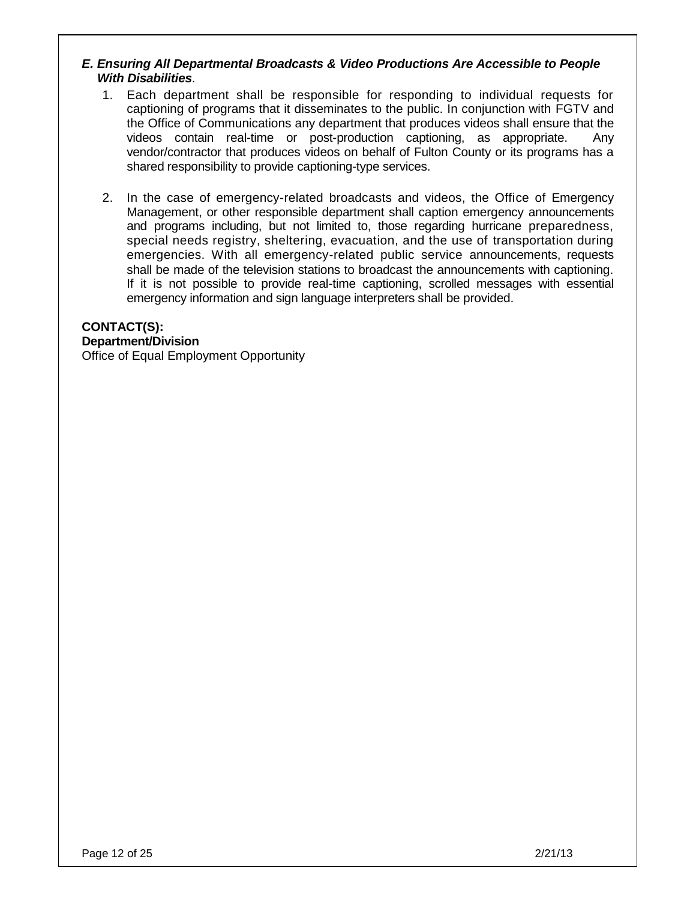# *E. Ensuring All Departmental Broadcasts & Video Productions Are Accessible to People With Disabilities*.

- 1. Each department shall be responsible for responding to individual requests for captioning of programs that it disseminates to the public. In conjunction with FGTV and the Office of Communications any department that produces videos shall ensure that the videos contain real-time or post-production captioning, as appropriate. Any vendor/contractor that produces videos on behalf of Fulton County or its programs has a shared responsibility to provide captioning-type services.
- 2. In the case of emergency-related broadcasts and videos, the Office of Emergency Management, or other responsible department shall caption emergency announcements and programs including, but not limited to, those regarding hurricane preparedness, special needs registry, sheltering, evacuation, and the use of transportation during emergencies. With all emergency-related public service announcements, requests shall be made of the television stations to broadcast the announcements with captioning. If it is not possible to provide real-time captioning, scrolled messages with essential emergency information and sign language interpreters shall be provided.

# **CONTACT(S):**

#### **Department/Division**

Office of Equal Employment Opportunity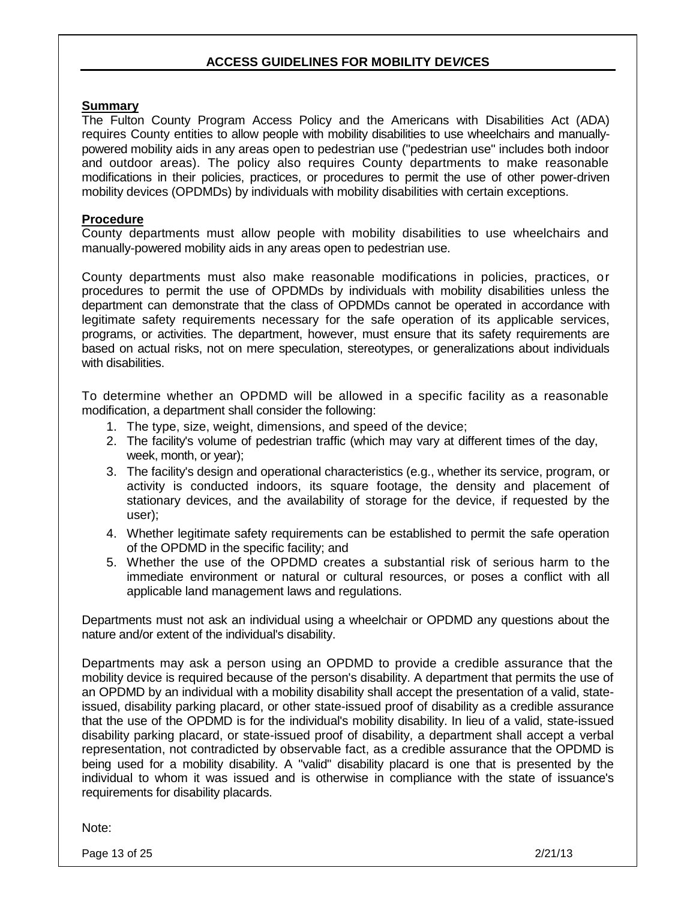# **ACCESS GUIDELINES FOR MOBILITY DE***VI***CES**

#### **Summary**

The Fulton County Program Access Policy and the Americans with Disabilities Act (ADA) requires County entities to allow people with mobility disabilities to use wheelchairs and manuallypowered mobility aids in any areas open to pedestrian use ("pedestrian use" includes both indoor and outdoor areas). The policy also requires County departments to make reasonable modifications in their policies, practices, or procedures to permit the use of other power-driven mobility devices (OPDMDs) by individuals with mobility disabilities with certain exceptions.

#### **Procedure**

County departments must allow people with mobility disabilities to use wheelchairs and manually-powered mobility aids in any areas open to pedestrian use.

County departments must also make reasonable modifications in policies, practices, or procedures to permit the use of OPDMDs by individuals with mobility disabilities unless the department can demonstrate that the class of OPDMDs cannot be operated in accordance with legitimate safety requirements necessary for the safe operation of its applicable services, programs, or activities. The department, however, must ensure that its safety requirements are based on actual risks, not on mere speculation, stereotypes, or generalizations about individuals with disabilities.

To determine whether an OPDMD will be allowed in a specific facility as a reasonable modification, a department shall consider the following:

- 1. The type, size, weight, dimensions, and speed of the device;
- 2. The facility's volume of pedestrian traffic (which may vary at different times of the day, week, month, or year);
- 3. The facility's design and operational characteristics (e.g., whether its service, program, or activity is conducted indoors, its square footage, the density and placement of stationary devices, and the availability of storage for the device, if requested by the user);
- 4. Whether legitimate safety requirements can be established to permit the safe operation of the OPDMD in the specific facility; and
- 5. Whether the use of the OPDMD creates a substantial risk of serious harm to the immediate environment or natural or cultural resources, or poses a conflict with all applicable land management laws and regulations.

Departments must not ask an individual using a wheelchair or OPDMD any questions about the nature and/or extent of the individual's disability.

Departments may ask a person using an OPDMD to provide a credible assurance that the mobility device is required because of the person's disability. A department that permits the use of an OPDMD by an individual with a mobility disability shall accept the presentation of a valid, stateissued, disability parking placard, or other state-issued proof of disability as a credible assurance that the use of the OPDMD is for the individual's mobility disability. In lieu of a valid, state-issued disability parking placard, or state-issued proof of disability, a department shall accept a verbal representation, not contradicted by observable fact, as a credible assurance that the OPDMD is being used for a mobility disability. A "valid" disability placard is one that is presented by the individual to whom it was issued and is otherwise in compliance with the state of issuance's requirements for disability placards.

Note:

Page 13 of 25 2/21/13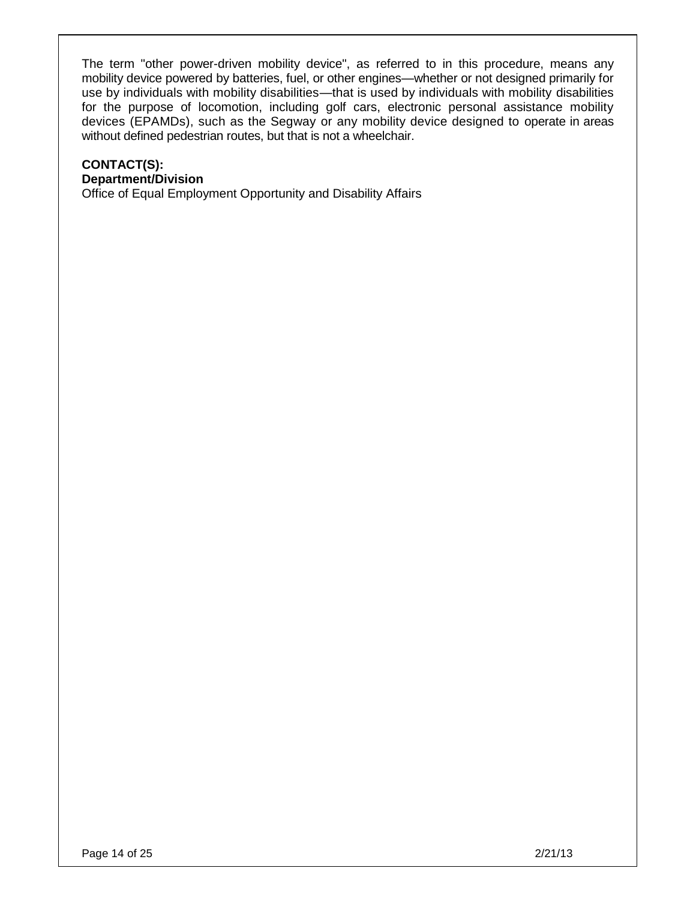The term "other power-driven mobility device", as referred to in this procedure, means any mobility device powered by batteries, fuel, or other engines—whether or not designed primarily for use by individuals with mobility disabilities—that is used by individuals with mobility disabilities for the purpose of locomotion, including golf cars, electronic personal assistance mobility devices (EPAMDs), such as the Segway or any mobility device designed to operate in areas without defined pedestrian routes, but that is not a wheelchair.

# **CONTACT(S): Department/Division**

Office of Equal Employment Opportunity and Disability Affairs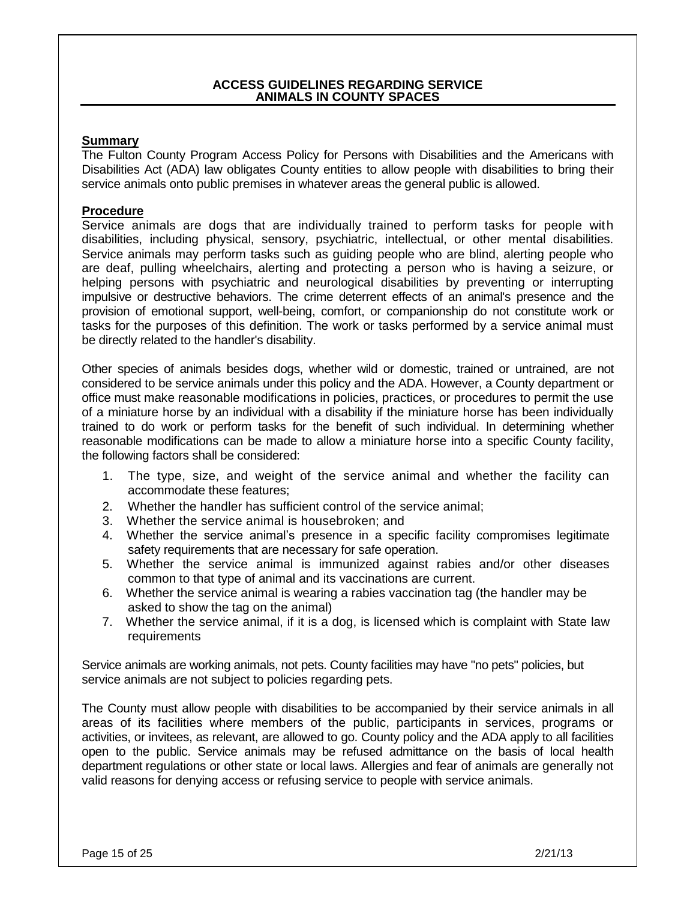#### **ACCESS GUIDELINES REGARDING SERVICE ANIMALS IN COUNTY SPACES**

## **Summary**

The Fulton County Program Access Policy for Persons with Disabilities and the Americans with Disabilities Act (ADA) law obligates County entities to allow people with disabilities to bring their service animals onto public premises in whatever areas the general public is allowed.

#### **Procedure**

Service animals are dogs that are individually trained to perform tasks for people with disabilities, including physical, sensory, psychiatric, intellectual, or other mental disabilities. Service animals may perform tasks such as guiding people who are blind, alerting people who are deaf, pulling wheelchairs, alerting and protecting a person who is having a seizure, or helping persons with psychiatric and neurological disabilities by preventing or interrupting impulsive or destructive behaviors. The crime deterrent effects of an animal's presence and the provision of emotional support, well-being, comfort, or companionship do not constitute work or tasks for the purposes of this definition. The work or tasks performed by a service animal must be directly related to the handler's disability.

Other species of animals besides dogs, whether wild or domestic, trained or untrained, are not considered to be service animals under this policy and the ADA. However, a County department or office must make reasonable modifications in policies, practices, or procedures to permit the use of a miniature horse by an individual with a disability if the miniature horse has been individually trained to do work or perform tasks for the benefit of such individual. In determining whether reasonable modifications can be made to allow a miniature horse into a specific County facility, the following factors shall be considered:

- 1. The type, size, and weight of the service animal and whether the facility can accommodate these features;
- 2. Whether the handler has sufficient control of the service animal;
- 3. Whether the service animal is housebroken; and
- 4. Whether the service animal's presence in a specific facility compromises legitimate safety requirements that are necessary for safe operation.
- 5. Whether the service animal is immunized against rabies and/or other diseases common to that type of animal and its vaccinations are current.
- 6. Whether the service animal is wearing a rabies vaccination tag (the handler may be asked to show the tag on the animal)
- 7. Whether the service animal, if it is a dog, is licensed which is complaint with State law requirements

Service animals are working animals, not pets. County facilities may have "no pets" policies, but service animals are not subject to policies regarding pets.

The County must allow people with disabilities to be accompanied by their service animals in all areas of its facilities where members of the public, participants in services, programs or activities, or invitees, as relevant, are allowed to go. County policy and the ADA apply to all facilities open to the public. Service animals may be refused admittance on the basis of local health department regulations or other state or local laws. Allergies and fear of animals are generally not valid reasons for denying access or refusing service to people with service animals.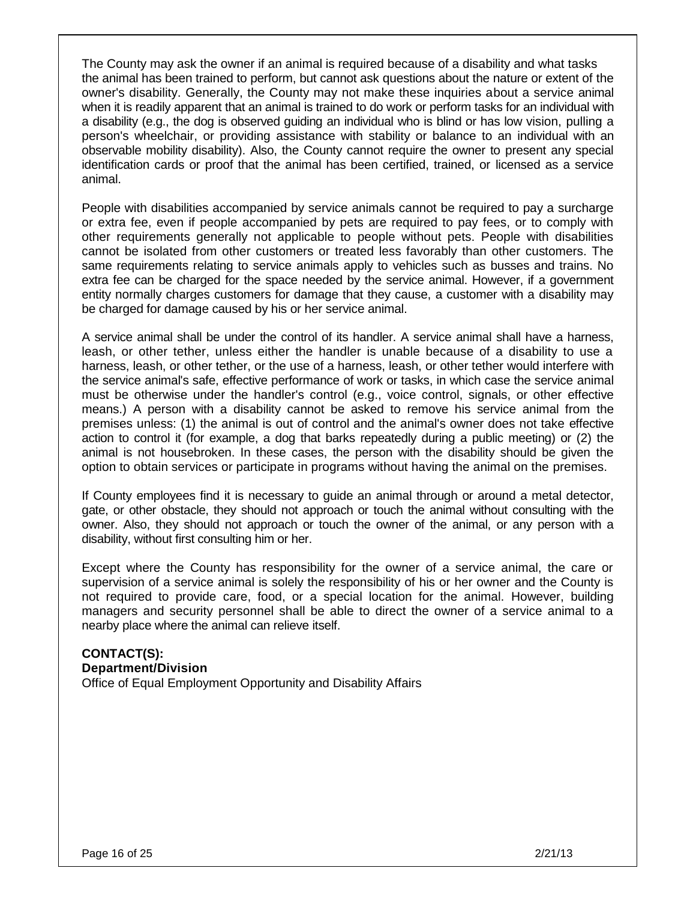The County may ask the owner if an animal is required because of a disability and what tasks the animal has been trained to perform, but cannot ask questions about the nature or extent of the owner's disability. Generally, the County may not make these inquiries about a service animal when it is readily apparent that an animal is trained to do work or perform tasks for an individual with a disability (e.g., the dog is observed guiding an individual who is blind or has low vision, pulling a person's wheelchair, or providing assistance with stability or balance to an individual with an observable mobility disability). Also, the County cannot require the owner to present any special identification cards or proof that the animal has been certified, trained, or licensed as a service animal.

People with disabilities accompanied by service animals cannot be required to pay a surcharge or extra fee, even if people accompanied by pets are required to pay fees, or to comply with other requirements generally not applicable to people without pets. People with disabilities cannot be isolated from other customers or treated less favorably than other customers. The same requirements relating to service animals apply to vehicles such as busses and trains. No extra fee can be charged for the space needed by the service animal. However, if a government entity normally charges customers for damage that they cause, a customer with a disability may be charged for damage caused by his or her service animal.

A service animal shall be under the control of its handler. A service animal shall have a harness, leash, or other tether, unless either the handler is unable because of a disability to use a harness, leash, or other tether, or the use of a harness, leash, or other tether would interfere with the service animal's safe, effective performance of work or tasks, in which case the service animal must be otherwise under the handler's control (e.g., voice control, signals, or other effective means.) A person with a disability cannot be asked to remove his service animal from the premises unless: (1) the animal is out of control and the animal's owner does not take effective action to control it (for example, a dog that barks repeatedly during a public meeting) or (2) the animal is not housebroken. In these cases, the person with the disability should be given the option to obtain services or participate in programs without having the animal on the premises.

If County employees find it is necessary to guide an animal through or around a metal detector, gate, or other obstacle, they should not approach or touch the animal without consulting with the owner. Also, they should not approach or touch the owner of the animal, or any person with a disability, without first consulting him or her.

Except where the County has responsibility for the owner of a service animal, the care or supervision of a service animal is solely the responsibility of his or her owner and the County is not required to provide care, food, or a special location for the animal. However, building managers and security personnel shall be able to direct the owner of a service animal to a nearby place where the animal can relieve itself.

**CONTACT(S): Department/Division** Office of Equal Employment Opportunity and Disability Affairs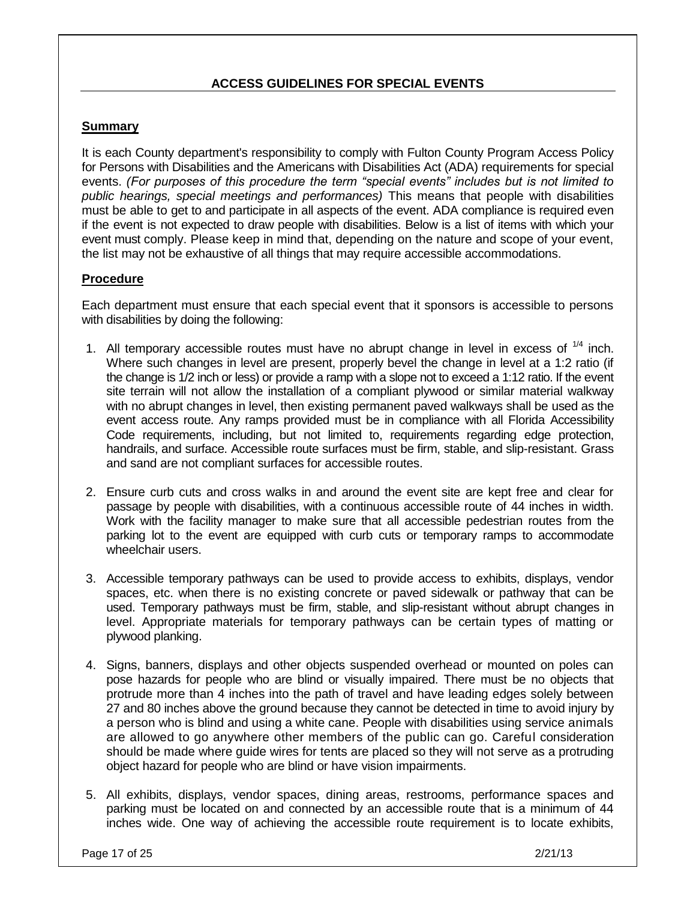# **ACCESS GUIDELINES FOR SPECIAL EVENTS**

# **Summary**

It is each County department's responsibility to comply with Fulton County Program Access Policy for Persons with Disabilities and the Americans with Disabilities Act (ADA) requirements for special events. *(For purposes of this procedure the term "special events" includes but is not limited to public hearings, special meetings and performances)* This means that people with disabilities must be able to get to and participate in all aspects of the event. ADA compliance is required even if the event is not expected to draw people with disabilities. Below is a list of items with which your event must comply. Please keep in mind that, depending on the nature and scope of your event, the list may not be exhaustive of all things that may require accessible accommodations.

# **Procedure**

Each department must ensure that each special event that it sponsors is accessible to persons with disabilities by doing the following:

- 1. All temporary accessible routes must have no abrupt change in level in excess of  $1/4$  inch. Where such changes in level are present, properly bevel the change in level at a 1:2 ratio (if the change is 1/2 inch or less) or provide a ramp with a slope not to exceed a 1:12 ratio. If the event site terrain will not allow the installation of a compliant plywood or similar material walkway with no abrupt changes in level, then existing permanent paved walkways shall be used as the event access route. Any ramps provided must be in compliance with all Florida Accessibility Code requirements, including, but not limited to, requirements regarding edge protection, handrails, and surface. Accessible route surfaces must be firm, stable, and slip-resistant. Grass and sand are not compliant surfaces for accessible routes.
- 2. Ensure curb cuts and cross walks in and around the event site are kept free and clear for passage by people with disabilities, with a continuous accessible route of 44 inches in width. Work with the facility manager to make sure that all accessible pedestrian routes from the parking lot to the event are equipped with curb cuts or temporary ramps to accommodate wheelchair users.
- 3. Accessible temporary pathways can be used to provide access to exhibits, displays, vendor spaces, etc. when there is no existing concrete or paved sidewalk or pathway that can be used. Temporary pathways must be firm, stable, and slip-resistant without abrupt changes in level. Appropriate materials for temporary pathways can be certain types of matting or plywood planking.
- 4. Signs, banners, displays and other objects suspended overhead or mounted on poles can pose hazards for people who are blind or visually impaired. There must be no objects that protrude more than 4 inches into the path of travel and have leading edges solely between 27 and 80 inches above the ground because they cannot be detected in time to avoid injury by a person who is blind and using a white cane. People with disabilities using service animals are allowed to go anywhere other members of the public can go. Careful consideration should be made where guide wires for tents are placed so they will not serve as a protruding object hazard for people who are blind or have vision impairments.
- 5. All exhibits, displays, vendor spaces, dining areas, restrooms, performance spaces and parking must be located on and connected by an accessible route that is a minimum of 44 inches wide. One way of achieving the accessible route requirement is to locate exhibits,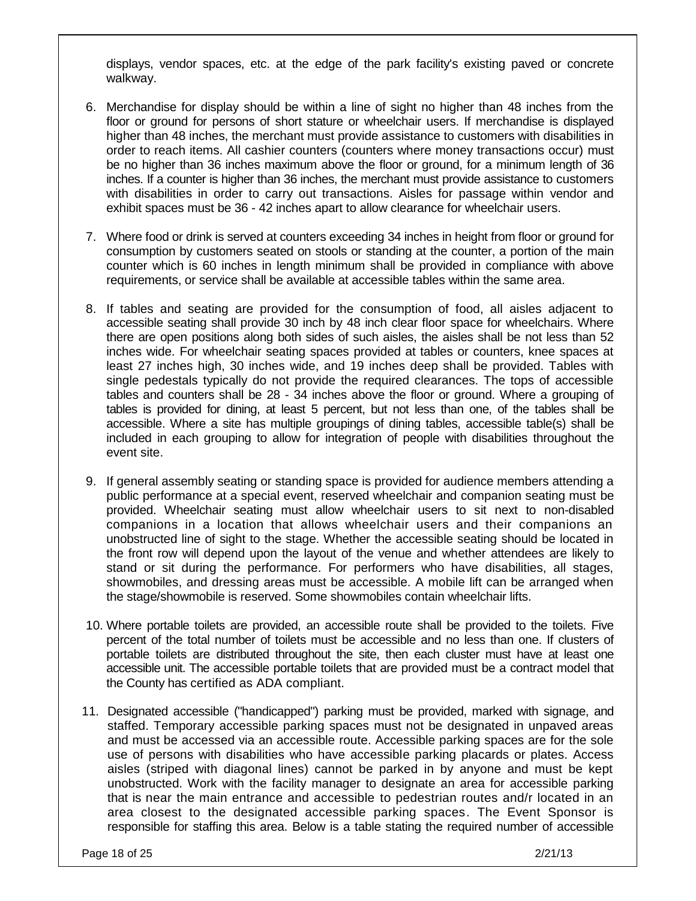displays, vendor spaces, etc. at the edge of the park facility's existing paved or concrete walkway.

- 6. Merchandise for display should be within a line of sight no higher than 48 inches from the floor or ground for persons of short stature or wheelchair users. If merchandise is displayed higher than 48 inches, the merchant must provide assistance to customers with disabilities in order to reach items. All cashier counters (counters where money transactions occur) must be no higher than 36 inches maximum above the floor or ground, for a minimum length of 36 inches. If a counter is higher than 36 inches, the merchant must provide assistance to customers with disabilities in order to carry out transactions. Aisles for passage within vendor and exhibit spaces must be 36 - 42 inches apart to allow clearance for wheelchair users.
- 7. Where food or drink is served at counters exceeding 34 inches in height from floor or ground for consumption by customers seated on stools or standing at the counter, a portion of the main counter which is 60 inches in length minimum shall be provided in compliance with above requirements, or service shall be available at accessible tables within the same area.
- 8. If tables and seating are provided for the consumption of food, all aisles adjacent to accessible seating shall provide 30 inch by 48 inch clear floor space for wheelchairs. Where there are open positions along both sides of such aisles, the aisles shall be not less than 52 inches wide. For wheelchair seating spaces provided at tables or counters, knee spaces at least 27 inches high, 30 inches wide, and 19 inches deep shall be provided. Tables with single pedestals typically do not provide the required clearances. The tops of accessible tables and counters shall be 28 - 34 inches above the floor or ground. Where a grouping of tables is provided for dining, at least 5 percent, but not less than one, of the tables shall be accessible. Where a site has multiple groupings of dining tables, accessible table(s) shall be included in each grouping to allow for integration of people with disabilities throughout the event site.
- 9. If general assembly seating or standing space is provided for audience members attending a public performance at a special event, reserved wheelchair and companion seating must be provided. Wheelchair seating must allow wheelchair users to sit next to non-disabled companions in a location that allows wheelchair users and their companions an unobstructed line of sight to the stage. Whether the accessible seating should be located in the front row will depend upon the layout of the venue and whether attendees are likely to stand or sit during the performance. For performers who have disabilities, all stages, showmobiles, and dressing areas must be accessible. A mobile lift can be arranged when the stage/showmobile is reserved. Some showmobiles contain wheelchair lifts.
- 10. Where portable toilets are provided, an accessible route shall be provided to the toilets. Five percent of the total number of toilets must be accessible and no less than one. If clusters of portable toilets are distributed throughout the site, then each cluster must have at least one accessible unit. The accessible portable toilets that are provided must be a contract model that the County has certified as ADA compliant.
- 11. Designated accessible ("handicapped") parking must be provided, marked with signage, and staffed. Temporary accessible parking spaces must not be designated in unpaved areas and must be accessed via an accessible route. Accessible parking spaces are for the sole use of persons with disabilities who have accessible parking placards or plates. Access aisles (striped with diagonal lines) cannot be parked in by anyone and must be kept unobstructed. Work with the facility manager to designate an area for accessible parking that is near the main entrance and accessible to pedestrian routes and/r located in an area closest to the designated accessible parking spaces. The Event Sponsor is responsible for staffing this area. Below is a table stating the required number of accessible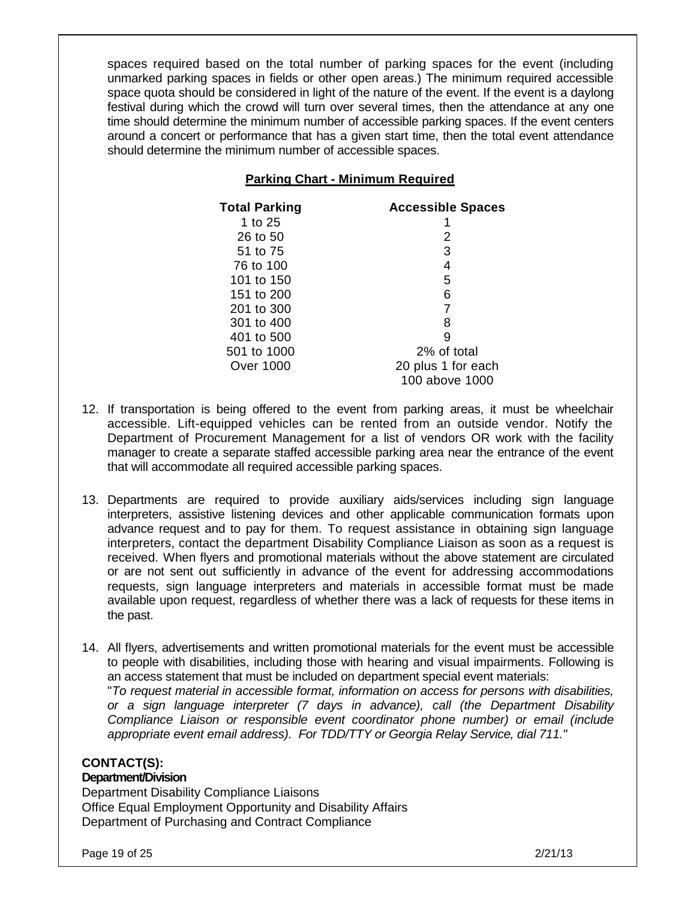spaces required based on the total number of parking spaces for the event (including unmarked parking spaces in fields or other open areas.) The minimum required accessible space quota should be considered in light of the nature of the event. If the event is a daylong festival during which the crowd will turn over several times, then the attendance at any one time should determine the minimum number of accessible parking spaces. If the event centers around a concert or performance that has a given start time, then the total event attendance should determine the minimum number of accessible spaces.

# **Parking Chart - Minimum Required**

| <b>Total Parking</b> | <b>Accessible Spaces</b> |
|----------------------|--------------------------|
| 1 to 25              |                          |
| 26 to 50             | 2                        |
| 51 to 75             | 3                        |
| 76 to 100            | 4                        |
| 101 to 150           | 5                        |
| 151 to 200           | 6                        |
| 201 to 300           |                          |
| 301 to 400           | 8                        |
| 401 to 500           | g                        |
| 501 to 1000          | 2% of total              |
| Over 1000            | 20 plus 1 for each       |
|                      | 100 above 1000           |

- 12. If transportation is being offered to the event from parking areas, it must be wheelchair accessible. Lift-equipped vehicles can be rented from an outside vendor. Notify the Department of Procurement Management for a list of vendors OR work with the facility manager to create a separate staffed accessible parking area near the entrance of the event that will accommodate all required accessible parking spaces.
- 13. Departments are required to provide auxiliary aids/services including sign language interpreters, assistive listening devices and other applicable communication formats upon advance request and to pay for them. To request assistance in obtaining sign language interpreters, contact the department Disability Compliance Liaison as soon as a request is received. When flyers and promotional materials without the above statement are circulated or are not sent out sufficiently in advance of the event for addressing accommodations requests, sign language interpreters and materials in accessible format must be made available upon request, regardless of whether there was a lack of requests for these items in the past.
- 14. All flyers, advertisements and written promotional materials for the event must be accessible to people with disabilities, including those with hearing and visual impairments. Following is an access statement that must be included on department special event materials:

"*To request material in accessible format, information on access for persons with disabilities, or a sign language interpreter (7 days in advance), call (the Department Disability Compliance Liaison or responsible event coordinator phone number) or email (include appropriate event email address). For TDD/TTY or Georgia Relay Service, dial 711."*

# **CONTACT(S):**

# **Department/Division**

Department Disability Compliance Liaisons Office Equal Employment Opportunity and Disability Affairs Department of Purchasing and Contract Compliance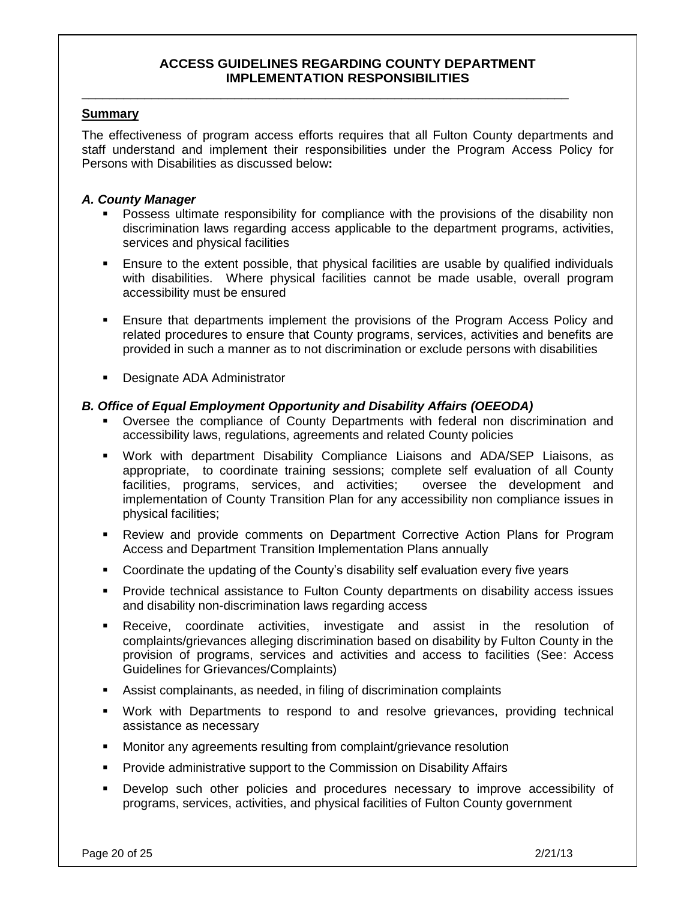#### **ACCESS GUIDELINES REGARDING COUNTY DEPARTMENT IMPLEMENTATION RESPONSIBILITIES**

\_\_\_\_\_\_\_\_\_\_\_\_\_\_\_\_\_\_\_\_\_\_\_\_\_\_\_\_\_\_\_\_\_\_\_\_\_\_\_\_\_\_\_\_\_\_\_\_\_\_\_\_\_\_\_\_\_\_\_\_\_\_\_\_\_\_\_\_\_\_

#### **Summary**

The effectiveness of program access efforts requires that all Fulton County departments and staff understand and implement their responsibilities under the Program Access Policy for Persons with Disabilities as discussed below**:** 

#### *A. County Manager*

- Possess ultimate responsibility for compliance with the provisions of the disability non discrimination laws regarding access applicable to the department programs, activities, services and physical facilities
- Ensure to the extent possible, that physical facilities are usable by qualified individuals with disabilities. Where physical facilities cannot be made usable, overall program accessibility must be ensured
- Ensure that departments implement the provisions of the Program Access Policy and related procedures to ensure that County programs, services, activities and benefits are provided in such a manner as to not discrimination or exclude persons with disabilities
- **-** Designate ADA Administrator

#### *B. Office of Equal Employment Opportunity and Disability Affairs (OEEODA)*

- Oversee the compliance of County Departments with federal non discrimination and accessibility laws, regulations, agreements and related County policies
- Work with department Disability Compliance Liaisons and ADA/SEP Liaisons, as appropriate, to coordinate training sessions; complete self evaluation of all County facilities, programs, services, and activities; oversee the development and implementation of County Transition Plan for any accessibility non compliance issues in physical facilities;
- Review and provide comments on Department Corrective Action Plans for Program Access and Department Transition Implementation Plans annually
- Coordinate the updating of the County's disability self evaluation every five years
- Provide technical assistance to Fulton County departments on disability access issues and disability non-discrimination laws regarding access
- Receive, coordinate activities, investigate and assist in the resolution of complaints/grievances alleging discrimination based on disability by Fulton County in the provision of programs, services and activities and access to facilities (See: Access Guidelines for Grievances/Complaints)
- Assist complainants, as needed, in filing of discrimination complaints
- Work with Departments to respond to and resolve grievances, providing technical assistance as necessary
- Monitor any agreements resulting from complaint/grievance resolution
- Provide administrative support to the Commission on Disability Affairs
- Develop such other policies and procedures necessary to improve accessibility of programs, services, activities, and physical facilities of Fulton County government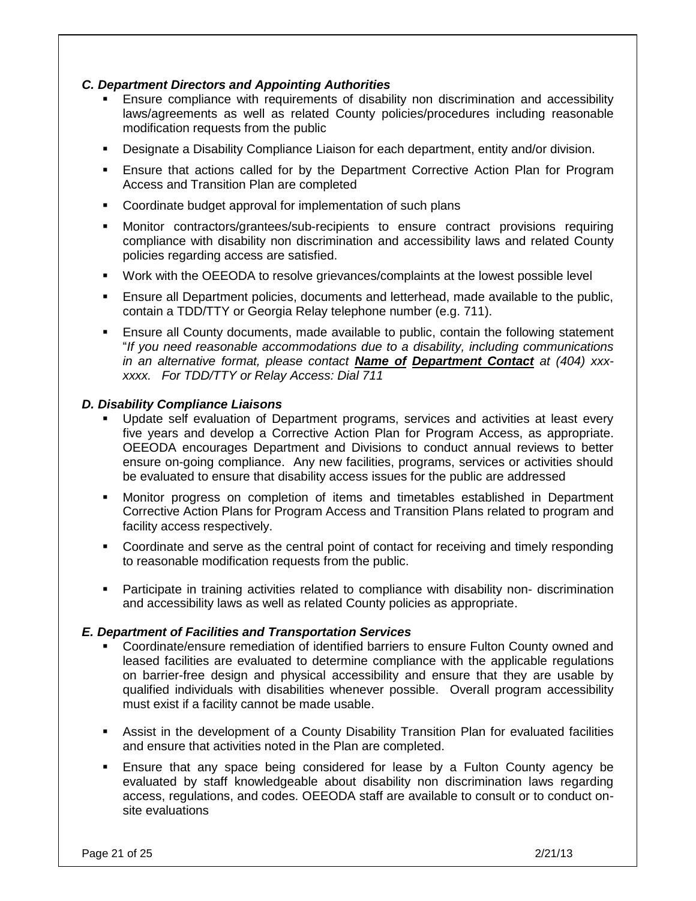# *C. Department Directors and Appointing Authorities*

- Ensure compliance with requirements of disability non discrimination and accessibility laws/agreements as well as related County policies/procedures including reasonable modification requests from the public
- Designate a Disability Compliance Liaison for each department, entity and/or division.
- Ensure that actions called for by the Department Corrective Action Plan for Program Access and Transition Plan are completed
- **Coordinate budget approval for implementation of such plans**
- Monitor contractors/grantees/sub-recipients to ensure contract provisions requiring compliance with disability non discrimination and accessibility laws and related County policies regarding access are satisfied.
- Work with the OEEODA to resolve grievances/complaints at the lowest possible level
- Ensure all Department policies, documents and letterhead, made available to the public, contain a TDD/TTY or Georgia Relay telephone number (e.g. 711).
- Ensure all County documents, made available to public, contain the following statement "*If you need reasonable accommodations due to a disability, including communications in an alternative format, please contact Name of Department Contact at (404) xxxxxxx. For TDD/TTY or Relay Access: Dial 711*

#### *D. Disability Compliance Liaisons*

- Update self evaluation of Department programs, services and activities at least every five years and develop a Corrective Action Plan for Program Access, as appropriate. OEEODA encourages Department and Divisions to conduct annual reviews to better ensure on-going compliance. Any new facilities, programs, services or activities should be evaluated to ensure that disability access issues for the public are addressed
- Monitor progress on completion of items and timetables established in Department Corrective Action Plans for Program Access and Transition Plans related to program and facility access respectively.
- Coordinate and serve as the central point of contact for receiving and timely responding to reasonable modification requests from the public.
- Participate in training activities related to compliance with disability non- discrimination and accessibility laws as well as related County policies as appropriate.

#### *E. Department of Facilities and Transportation Services*

- Coordinate/ensure remediation of identified barriers to ensure Fulton County owned and leased facilities are evaluated to determine compliance with the applicable regulations on barrier-free design and physical accessibility and ensure that they are usable by qualified individuals with disabilities whenever possible. Overall program accessibility must exist if a facility cannot be made usable.
- Assist in the development of a County Disability Transition Plan for evaluated facilities and ensure that activities noted in the Plan are completed.
- Ensure that any space being considered for lease by a Fulton County agency be evaluated by staff knowledgeable about disability non discrimination laws regarding access, regulations, and codes. OEEODA staff are available to consult or to conduct onsite evaluations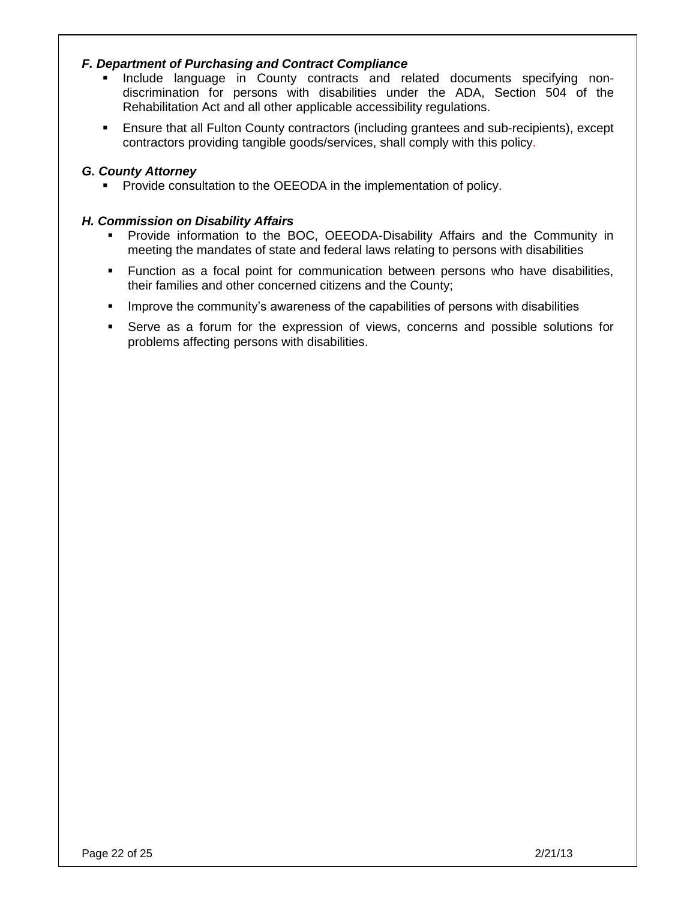# *F. Department of Purchasing and Contract Compliance*

- **Include language in County contracts and related documents specifying non**discrimination for persons with disabilities under the ADA, Section 504 of the Rehabilitation Act and all other applicable accessibility regulations.
- Ensure that all Fulton County contractors (including grantees and sub-recipients), except contractors providing tangible goods/services, shall comply with this policy.

## *G. County Attorney*

**Provide consultation to the OEEODA in the implementation of policy.** 

#### *H. Commission on Disability Affairs*

- Provide information to the BOC, OEEODA-Disability Affairs and the Community in meeting the mandates of state and federal laws relating to persons with disabilities
- Function as a focal point for communication between persons who have disabilities, their families and other concerned citizens and the County;
- **IMPROVE the community's awareness of the capabilities of persons with disabilities**
- Serve as a forum for the expression of views, concerns and possible solutions for problems affecting persons with disabilities.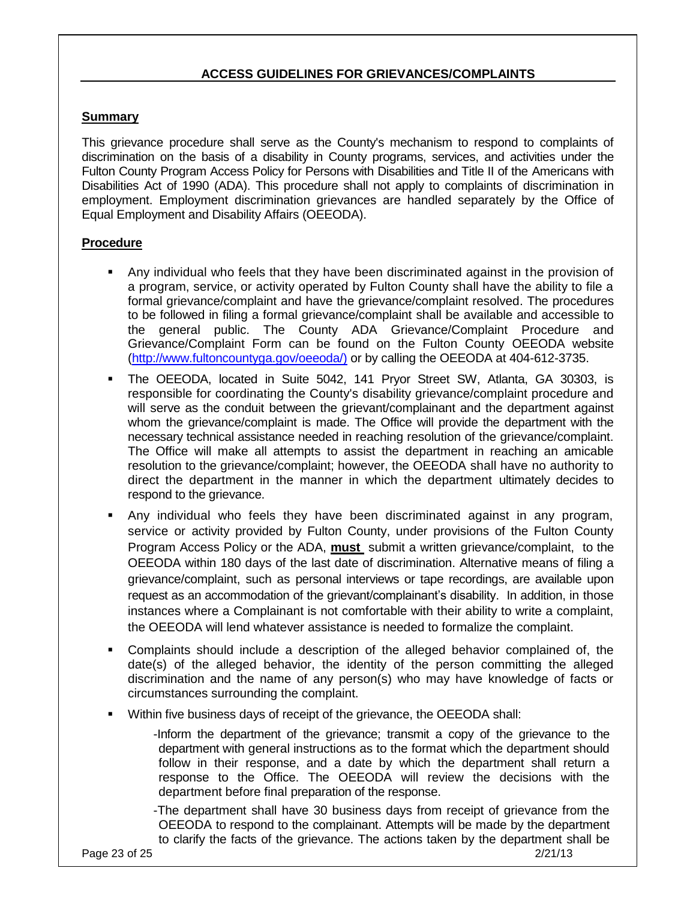# **ACCESS GUIDELINES FOR GRIEVANCES/COMPLAINTS**

# **Summary**

This grievance procedure shall serve as the County's mechanism to respond to complaints of discrimination on the basis of a disability in County programs, services, and activities under the Fulton County Program Access Policy for Persons with Disabilities and Title II of the Americans with Disabilities Act of 1990 (ADA). This procedure shall not apply to complaints of discrimination in employment. Employment discrimination grievances are handled separately by the Office of Equal Employment and Disability Affairs (OEEODA).

# **Procedure**

- Any individual who feels that they have been discriminated against in the provision of a program, service, or activity operated by Fulton County shall have the ability to file a formal grievance/complaint and have the grievance/complaint resolved. The procedures to be followed in filing a formal grievance/complaint shall be available and accessible to the general public. The County ADA Grievance/Complaint Procedure and Grievance/Complaint Form can be found on the Fulton County OEEODA website [\(http://www.fultoncountyga.gov/oeeoda/\)](http://www.fultoncountyga.gov/oeeoda/)) or by calling the OEEODA at 404-612-3735.
- The OEEODA, located in Suite 5042, 141 Pryor Street SW, Atlanta, GA 30303, is responsible for coordinating the County's disability grievance/complaint procedure and will serve as the conduit between the grievant/complainant and the department against whom the grievance/complaint is made. The Office will provide the department with the necessary technical assistance needed in reaching resolution of the grievance/complaint. The Office will make all attempts to assist the department in reaching an amicable resolution to the grievance/complaint; however, the OEEODA shall have no authority to direct the department in the manner in which the department ultimately decides to respond to the grievance.
- Any individual who feels they have been discriminated against in any program, service or activity provided by Fulton County, under provisions of the Fulton County Program Access Policy or the ADA, **must** submit a written grievance/complaint, to the OEEODA within 180 days of the last date of discrimination. Alternative means of filing a grievance/complaint, such as personal interviews or tape recordings, are available upon request as an accommodation of the grievant/complainant's disability. In addition, in those instances where a Complainant is not comfortable with their ability to write a complaint, the OEEODA will lend whatever assistance is needed to formalize the complaint.
- Complaints should include a description of the alleged behavior complained of, the date(s) of the alleged behavior, the identity of the person committing the alleged discrimination and the name of any person(s) who may have knowledge of facts or circumstances surrounding the complaint.
- Within five business days of receipt of the grievance, the OEEODA shall:

-Inform the department of the grievance; transmit a copy of the grievance to the department with general instructions as to the format which the department should follow in their response, and a date by which the department shall return a response to the Office. The OEEODA will review the decisions with the department before final preparation of the response.

-The department shall have 30 business days from receipt of grievance from the OEEODA to respond to the complainant. Attempts will be made by the department to clarify the facts of the grievance. The actions taken by the department shall be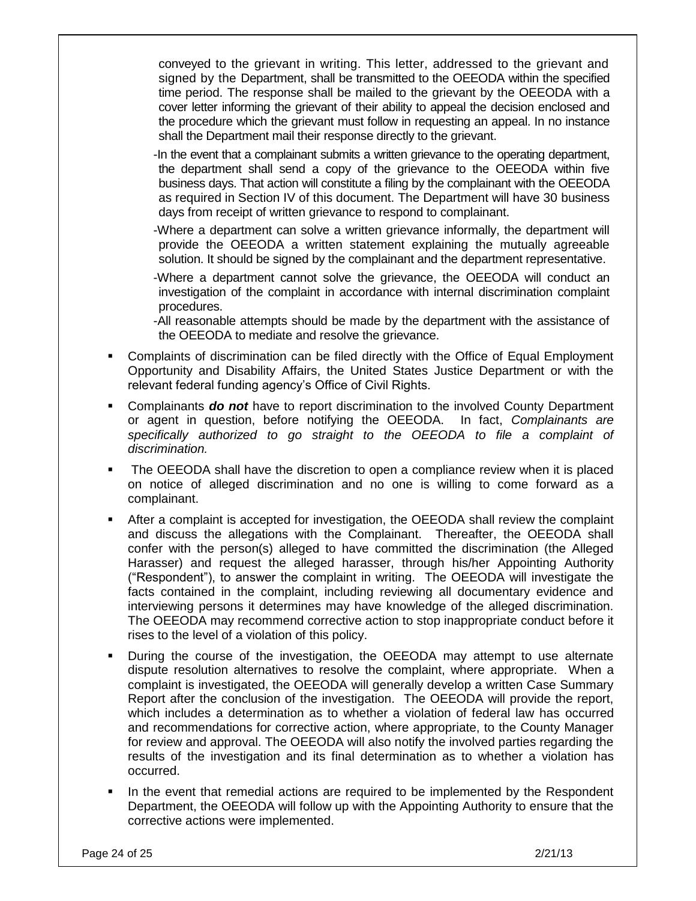conveyed to the grievant in writing. This letter, addressed to the grievant and signed by the Department, shall be transmitted to the OEEODA within the specified time period. The response shall be mailed to the grievant by the OEEODA with a cover letter informing the grievant of their ability to appeal the decision enclosed and the procedure which the grievant must follow in requesting an appeal. In no instance shall the Department mail their response directly to the grievant.

- -In the event that a complainant submits a written grievance to the operating department, the department shall send a copy of the grievance to the OEEODA within five business days. That action will constitute a filing by the complainant with the OEEODA as required in Section IV of this document. The Department will have 30 business days from receipt of written grievance to respond to complainant.
- -Where a department can solve a written grievance informally, the department will provide the OEEODA a written statement explaining the mutually agreeable solution. It should be signed by the complainant and the department representative.
- -Where a department cannot solve the grievance, the OEEODA will conduct an investigation of the complaint in accordance with internal discrimination complaint procedures.
- -All reasonable attempts should be made by the department with the assistance of the OEEODA to mediate and resolve the grievance.
- Complaints of discrimination can be filed directly with the Office of Equal Employment Opportunity and Disability Affairs, the United States Justice Department or with the relevant federal funding agency's Office of Civil Rights.
- Complainants *do not* have to report discrimination to the involved County Department or agent in question, before notifying the OEEODA. In fact, *Complainants are specifically authorized to go straight to the OEEODA to file a complaint of discrimination.*
- The OEEODA shall have the discretion to open a compliance review when it is placed on notice of alleged discrimination and no one is willing to come forward as a complainant.
- After a complaint is accepted for investigation, the OEEODA shall review the complaint and discuss the allegations with the Complainant. Thereafter, the OEEODA shall confer with the person(s) alleged to have committed the discrimination (the Alleged Harasser) and request the alleged harasser, through his/her Appointing Authority ("Respondent"), to answer the complaint in writing. The OEEODA will investigate the facts contained in the complaint, including reviewing all documentary evidence and interviewing persons it determines may have knowledge of the alleged discrimination. The OEEODA may recommend corrective action to stop inappropriate conduct before it rises to the level of a violation of this policy.
- During the course of the investigation, the OEEODA may attempt to use alternate dispute resolution alternatives to resolve the complaint, where appropriate. When a complaint is investigated, the OEEODA will generally develop a written Case Summary Report after the conclusion of the investigation. The OEEODA will provide the report, which includes a determination as to whether a violation of federal law has occurred and recommendations for corrective action, where appropriate, to the County Manager for review and approval. The OEEODA will also notify the involved parties regarding the results of the investigation and its final determination as to whether a violation has occurred.
- In the event that remedial actions are required to be implemented by the Respondent Department, the OEEODA will follow up with the Appointing Authority to ensure that the corrective actions were implemented.